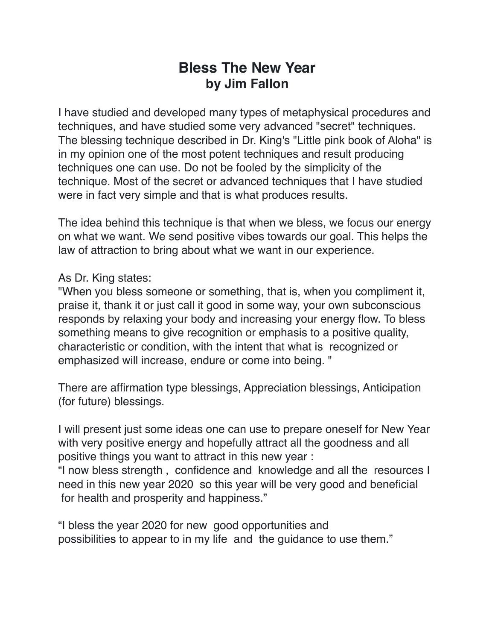## **Bless The New Year by Jim Fallon**

I have studied and developed many types of metaphysical procedures and techniques, and have studied some very advanced "secret" techniques. The blessing technique described in Dr. King's "Little pink book of Aloha" is in my opinion one of the most potent techniques and result producing techniques one can use. Do not be fooled by the simplicity of the technique. Most of the secret or advanced techniques that I have studied were in fact very simple and that is what produces results.

The idea behind this technique is that when we bless, we focus our energy on what we want. We send positive vibes towards our goal. This helps the law of attraction to bring about what we want in our experience.

## As Dr. King states:

"When you bless someone or something, that is, when you compliment it, praise it, thank it or just call it good in some way, your own subconscious responds by relaxing your body and increasing your energy flow. To bless something means to give recognition or emphasis to a positive quality, characteristic or condition, with the intent that what is recognized or emphasized will increase, endure or come into being. "

There are affirmation type blessings, Appreciation blessings, Anticipation (for future) blessings.

I will present just some ideas one can use to prepare oneself for New Year with very positive energy and hopefully attract all the goodness and all positive things you want to attract in this new year :

"I now bless strength , confidence and knowledge and all the resources I need in this new year 2020 so this year will be very good and beneficial for health and prosperity and happiness."

"I bless the year 2020 for new good opportunities and possibilities to appear to in my life and the guidance to use them."